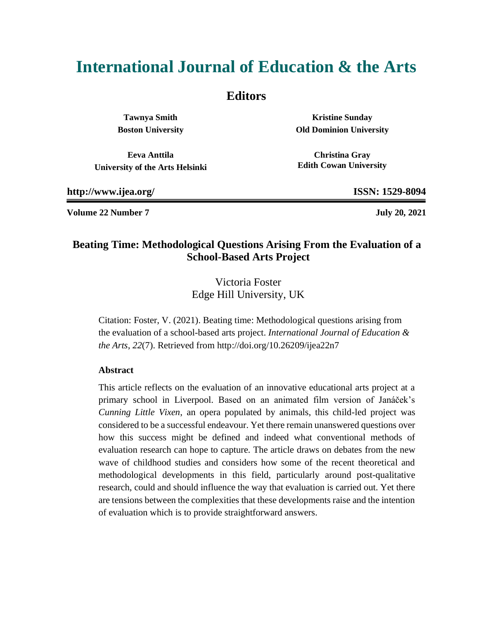# **International Journal of Education & the Arts**

### **Editors**

**Tawnya Smith Boston University**

**Eeva Anttila University of the Arts Helsinki**

**Kristine Sunday Old Dominion University**

**Christina Gray Edith Cowan University**

**http://www.ijea.org/ ISSN: 1529-8094**

**Volume 22 Number 7 July 20, 2021**

### **Beating Time: Methodological Questions Arising From the Evaluation of a School-Based Arts Project**

Victoria Foster Edge Hill University, UK

Citation: Foster, V. (2021). Beating time: Methodological questions arising from the evaluation of a school-based arts project. *International Journal of Education & the Arts*, *22*(7). Retrieved from http://doi.org/10.26209/ijea22n7

#### **Abstract**

This article reflects on the evaluation of an innovative educational arts project at a primary school in Liverpool. Based on an animated film version of Janáček's *Cunning Little Vixen*, an opera populated by animals, this child-led project was considered to be a successful endeavour. Yet there remain unanswered questions over how this success might be defined and indeed what conventional methods of evaluation research can hope to capture. The article draws on debates from the new wave of childhood studies and considers how some of the recent theoretical and methodological developments in this field, particularly around post-qualitative research, could and should influence the way that evaluation is carried out. Yet there are tensions between the complexities that these developments raise and the intention of evaluation which is to provide straightforward answers.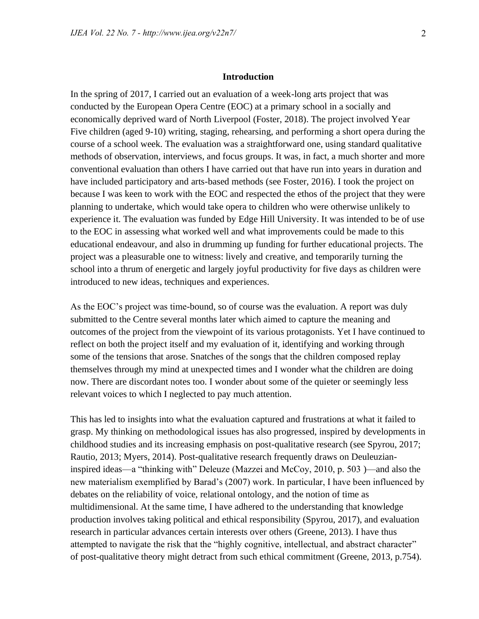#### **Introduction**

In the spring of 2017, I carried out an evaluation of a week-long arts project that was conducted by the European Opera Centre (EOC) at a primary school in a socially and economically deprived ward of North Liverpool (Foster, 2018). The project involved Year Five children (aged 9-10) writing, staging, rehearsing, and performing a short opera during the course of a school week. The evaluation was a straightforward one, using standard qualitative methods of observation, interviews, and focus groups. It was, in fact, a much shorter and more conventional evaluation than others I have carried out that have run into years in duration and have included participatory and arts-based methods (see Foster, 2016). I took the project on because I was keen to work with the EOC and respected the ethos of the project that they were planning to undertake, which would take opera to children who were otherwise unlikely to experience it. The evaluation was funded by Edge Hill University. It was intended to be of use to the EOC in assessing what worked well and what improvements could be made to this educational endeavour, and also in drumming up funding for further educational projects. The project was a pleasurable one to witness: lively and creative, and temporarily turning the school into a thrum of energetic and largely joyful productivity for five days as children were introduced to new ideas, techniques and experiences.

As the EOC's project was time-bound, so of course was the evaluation. A report was duly submitted to the Centre several months later which aimed to capture the meaning and outcomes of the project from the viewpoint of its various protagonists. Yet I have continued to reflect on both the project itself and my evaluation of it, identifying and working through some of the tensions that arose. Snatches of the songs that the children composed replay themselves through my mind at unexpected times and I wonder what the children are doing now. There are discordant notes too. I wonder about some of the quieter or seemingly less relevant voices to which I neglected to pay much attention.

This has led to insights into what the evaluation captured and frustrations at what it failed to grasp. My thinking on methodological issues has also progressed, inspired by developments in childhood studies and its increasing emphasis on post-qualitative research (see Spyrou, 2017; Rautio, 2013; Myers, 2014). Post-qualitative research frequently draws on Deuleuzianinspired ideas—a "thinking with" Deleuze (Mazzei and McCoy, 2010, p. 503 )—and also the new materialism exemplified by Barad's (2007) work. In particular, I have been influenced by debates on the reliability of voice, relational ontology, and the notion of time as multidimensional. At the same time, I have adhered to the understanding that knowledge production involves taking political and ethical responsibility (Spyrou, 2017), and evaluation research in particular advances certain interests over others (Greene, 2013). I have thus attempted to navigate the risk that the "highly cognitive, intellectual, and abstract character" of post-qualitative theory might detract from such ethical commitment (Greene, 2013, p.754).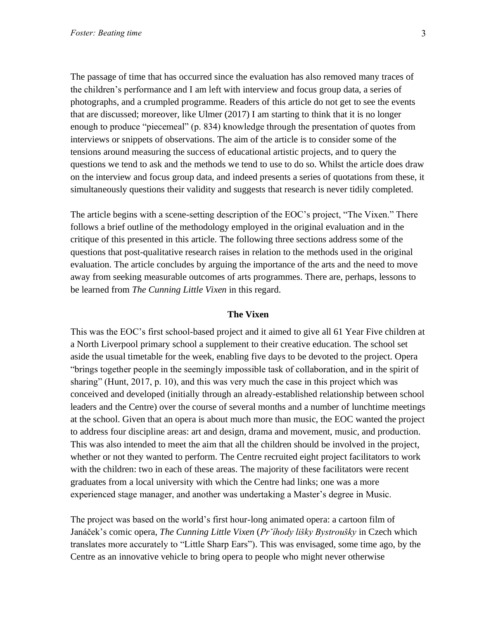The passage of time that has occurred since the evaluation has also removed many traces of the children's performance and I am left with interview and focus group data, a series of photographs, and a crumpled programme. Readers of this article do not get to see the events that are discussed; moreover, like Ulmer (2017) I am starting to think that it is no longer enough to produce "piecemeal" (p. 834) knowledge through the presentation of quotes from interviews or snippets of observations. The aim of the article is to consider some of the tensions around measuring the success of educational artistic projects, and to query the questions we tend to ask and the methods we tend to use to do so. Whilst the article does draw on the interview and focus group data, and indeed presents a series of quotations from these, it simultaneously questions their validity and suggests that research is never tidily completed.

The article begins with a scene-setting description of the EOC's project, "The Vixen." There follows a brief outline of the methodology employed in the original evaluation and in the critique of this presented in this article. The following three sections address some of the questions that post-qualitative research raises in relation to the methods used in the original evaluation. The article concludes by arguing the importance of the arts and the need to move away from seeking measurable outcomes of arts programmes. There are, perhaps, lessons to be learned from *The Cunning Little Vixen* in this regard.

#### **The Vixen**

This was the EOC's first school-based project and it aimed to give all 61 Year Five children at a North Liverpool primary school a supplement to their creative education. The school set aside the usual timetable for the week, enabling five days to be devoted to the project. Opera "brings together people in the seemingly impossible task of collaboration, and in the spirit of sharing" (Hunt, 2017, p. 10), and this was very much the case in this project which was conceived and developed (initially through an already-established relationship between school leaders and the Centre) over the course of several months and a number of lunchtime meetings at the school. Given that an opera is about much more than music, the EOC wanted the project to address four discipline areas: art and design, drama and movement, music, and production. This was also intended to meet the aim that all the children should be involved in the project, whether or not they wanted to perform. The Centre recruited eight project facilitators to work with the children: two in each of these areas. The majority of these facilitators were recent graduates from a local university with which the Centre had links; one was a more experienced stage manager, and another was undertaking a Master's degree in Music.

The project was based on the world's first hour-long animated opera: a cartoon film of Janáček's comic opera, *The Cunning Little Vixen* (*Prˇíhody lišky Bystroušky* in Czech which translates more accurately to "Little Sharp Ears"). This was envisaged, some time ago, by the Centre as an innovative vehicle to bring opera to people who might never otherwise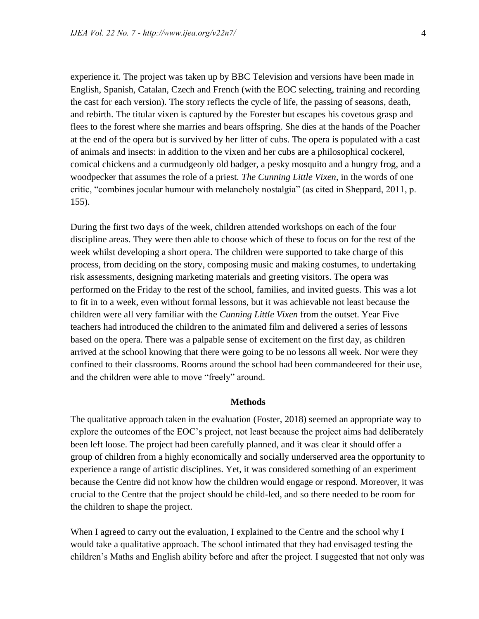experience it. The project was taken up by BBC Television and versions have been made in English, Spanish, Catalan, Czech and French (with the EOC selecting, training and recording the cast for each version). The story reflects the cycle of life, the passing of seasons, death, and rebirth. The titular vixen is captured by the Forester but escapes his covetous grasp and flees to the forest where she marries and bears offspring. She dies at the hands of the Poacher at the end of the opera but is survived by her litter of cubs. The opera is populated with a cast of animals and insects: in addition to the vixen and her cubs are a philosophical cockerel, comical chickens and a curmudgeonly old badger, a pesky mosquito and a hungry frog, and a woodpecker that assumes the role of a priest. *The Cunning Little Vixen*, in the words of one critic, "combines jocular humour with melancholy nostalgia" (as cited in Sheppard, 2011, p. 155).

During the first two days of the week, children attended workshops on each of the four discipline areas. They were then able to choose which of these to focus on for the rest of the week whilst developing a short opera. The children were supported to take charge of this process, from deciding on the story, composing music and making costumes, to undertaking risk assessments, designing marketing materials and greeting visitors. The opera was performed on the Friday to the rest of the school, families, and invited guests. This was a lot to fit in to a week, even without formal lessons, but it was achievable not least because the children were all very familiar with the *Cunning Little Vixen* from the outset. Year Five teachers had introduced the children to the animated film and delivered a series of lessons based on the opera. There was a palpable sense of excitement on the first day, as children arrived at the school knowing that there were going to be no lessons all week. Nor were they confined to their classrooms. Rooms around the school had been commandeered for their use, and the children were able to move "freely" around.

#### **Methods**

The qualitative approach taken in the evaluation (Foster, 2018) seemed an appropriate way to explore the outcomes of the EOC's project, not least because the project aims had deliberately been left loose. The project had been carefully planned, and it was clear it should offer a group of children from a highly economically and socially underserved area the opportunity to experience a range of artistic disciplines. Yet, it was considered something of an experiment because the Centre did not know how the children would engage or respond. Moreover, it was crucial to the Centre that the project should be child-led, and so there needed to be room for the children to shape the project.

When I agreed to carry out the evaluation, I explained to the Centre and the school why I would take a qualitative approach. The school intimated that they had envisaged testing the children's Maths and English ability before and after the project. I suggested that not only was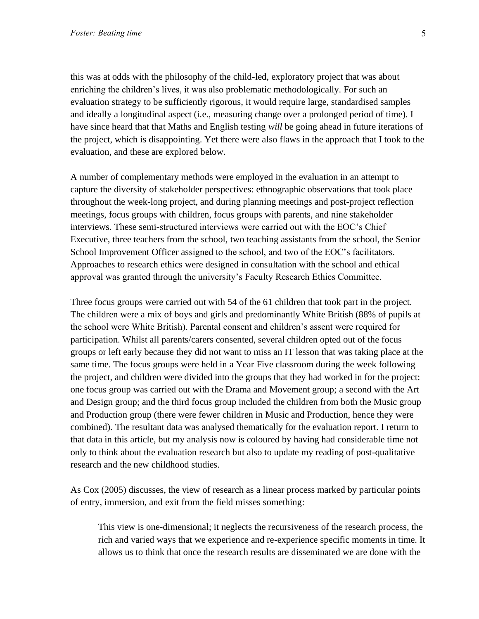this was at odds with the philosophy of the child-led, exploratory project that was about enriching the children's lives, it was also problematic methodologically. For such an evaluation strategy to be sufficiently rigorous, it would require large, standardised samples and ideally a longitudinal aspect (i.e., measuring change over a prolonged period of time). I have since heard that that Maths and English testing *will* be going ahead in future iterations of the project, which is disappointing. Yet there were also flaws in the approach that I took to the evaluation, and these are explored below.

A number of complementary methods were employed in the evaluation in an attempt to capture the diversity of stakeholder perspectives: ethnographic observations that took place throughout the week-long project, and during planning meetings and post-project reflection meetings, focus groups with children, focus groups with parents, and nine stakeholder interviews. These semi-structured interviews were carried out with the EOC's Chief Executive, three teachers from the school, two teaching assistants from the school, the Senior School Improvement Officer assigned to the school, and two of the EOC's facilitators. Approaches to research ethics were designed in consultation with the school and ethical approval was granted through the university's Faculty Research Ethics Committee.

Three focus groups were carried out with 54 of the 61 children that took part in the project. The children were a mix of boys and girls and predominantly White British (88% of pupils at the school were White British). Parental consent and children's assent were required for participation. Whilst all parents/carers consented, several children opted out of the focus groups or left early because they did not want to miss an IT lesson that was taking place at the same time. The focus groups were held in a Year Five classroom during the week following the project, and children were divided into the groups that they had worked in for the project: one focus group was carried out with the Drama and Movement group; a second with the Art and Design group; and the third focus group included the children from both the Music group and Production group (there were fewer children in Music and Production, hence they were combined). The resultant data was analysed thematically for the evaluation report. I return to that data in this article, but my analysis now is coloured by having had considerable time not only to think about the evaluation research but also to update my reading of post-qualitative research and the new childhood studies.

As Cox (2005) discusses, the view of research as a linear process marked by particular points of entry, immersion, and exit from the field misses something:

This view is one-dimensional; it neglects the recursiveness of the research process, the rich and varied ways that we experience and re-experience specific moments in time. It allows us to think that once the research results are disseminated we are done with the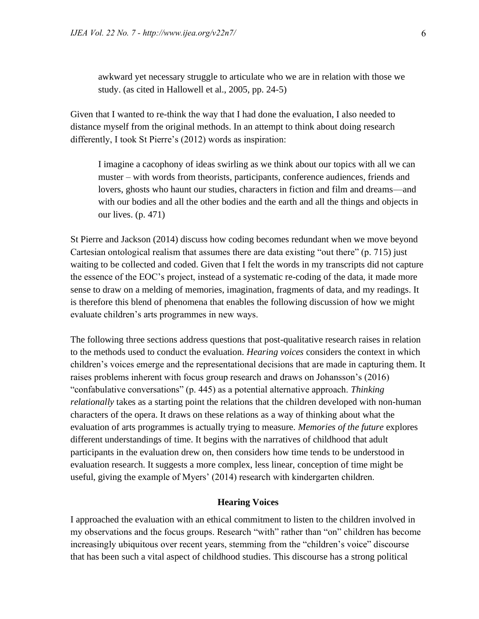awkward yet necessary struggle to articulate who we are in relation with those we study. (as cited in Hallowell et al., 2005, pp. 24-5)

Given that I wanted to re-think the way that I had done the evaluation, I also needed to distance myself from the original methods. In an attempt to think about doing research differently, I took St Pierre's (2012) words as inspiration:

I imagine a cacophony of ideas swirling as we think about our topics with all we can muster – with words from theorists, participants, conference audiences, friends and lovers, ghosts who haunt our studies, characters in fiction and film and dreams—and with our bodies and all the other bodies and the earth and all the things and objects in our lives. (p. 471)

St Pierre and Jackson (2014) discuss how coding becomes redundant when we move beyond Cartesian ontological realism that assumes there are data existing "out there" (p. 715) just waiting to be collected and coded. Given that I felt the words in my transcripts did not capture the essence of the EOC's project, instead of a systematic re-coding of the data, it made more sense to draw on a melding of memories, imagination, fragments of data, and my readings. It is therefore this blend of phenomena that enables the following discussion of how we might evaluate children's arts programmes in new ways.

The following three sections address questions that post-qualitative research raises in relation to the methods used to conduct the evaluation. *Hearing voices* considers the context in which children's voices emerge and the representational decisions that are made in capturing them. It raises problems inherent with focus group research and draws on Johansson's (2016) "confabulative conversations" (p. 445) as a potential alternative approach. *Thinking relationally* takes as a starting point the relations that the children developed with non-human characters of the opera. It draws on these relations as a way of thinking about what the evaluation of arts programmes is actually trying to measure. *Memories of the future* explores different understandings of time. It begins with the narratives of childhood that adult participants in the evaluation drew on, then considers how time tends to be understood in evaluation research. It suggests a more complex, less linear, conception of time might be useful, giving the example of Myers' (2014) research with kindergarten children.

#### **Hearing Voices**

I approached the evaluation with an ethical commitment to listen to the children involved in my observations and the focus groups. Research "with" rather than "on" children has become increasingly ubiquitous over recent years, stemming from the "children's voice" discourse that has been such a vital aspect of childhood studies. This discourse has a strong political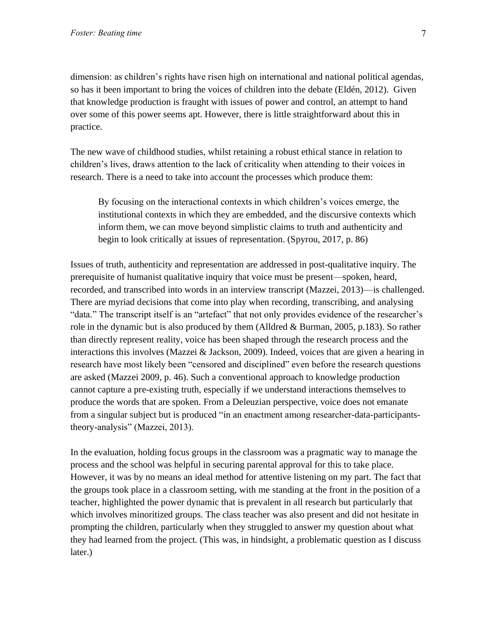dimension: as children's rights have risen high on international and national political agendas, so has it been important to bring the voices of children into the debate (Eldén, 2012). Given that knowledge production is fraught with issues of power and control, an attempt to hand over some of this power seems apt. However, there is little straightforward about this in practice.

The new wave of childhood studies, whilst retaining a robust ethical stance in relation to children's lives, draws attention to the lack of criticality when attending to their voices in research. There is a need to take into account the processes which produce them:

By focusing on the interactional contexts in which children's voices emerge, the institutional contexts in which they are embedded, and the discursive contexts which inform them, we can move beyond simplistic claims to truth and authenticity and begin to look critically at issues of representation. (Spyrou, 2017, p. 86)

Issues of truth, authenticity and representation are addressed in post-qualitative inquiry. The prerequisite of humanist qualitative inquiry that voice must be present—spoken, heard, recorded, and transcribed into words in an interview transcript (Mazzei, 2013)—is challenged. There are myriad decisions that come into play when recording, transcribing, and analysing "data." The transcript itself is an "artefact" that not only provides evidence of the researcher's role in the dynamic but is also produced by them (Alldred & Burman, 2005, p.183). So rather than directly represent reality, voice has been shaped through the research process and the interactions this involves (Mazzei & Jackson, 2009). Indeed, voices that are given a hearing in research have most likely been "censored and disciplined" even before the research questions are asked (Mazzei 2009, p. 46). Such a conventional approach to knowledge production cannot capture a pre-existing truth, especially if we understand interactions themselves to produce the words that are spoken. From a Deleuzian perspective, voice does not emanate from a singular subject but is produced "in an enactment among researcher-data-participantstheory-analysis" (Mazzei, 2013).

In the evaluation, holding focus groups in the classroom was a pragmatic way to manage the process and the school was helpful in securing parental approval for this to take place. However, it was by no means an ideal method for attentive listening on my part. The fact that the groups took place in a classroom setting, with me standing at the front in the position of a teacher, highlighted the power dynamic that is prevalent in all research but particularly that which involves minoritized groups. The class teacher was also present and did not hesitate in prompting the children, particularly when they struggled to answer my question about what they had learned from the project. (This was, in hindsight, a problematic question as I discuss later.)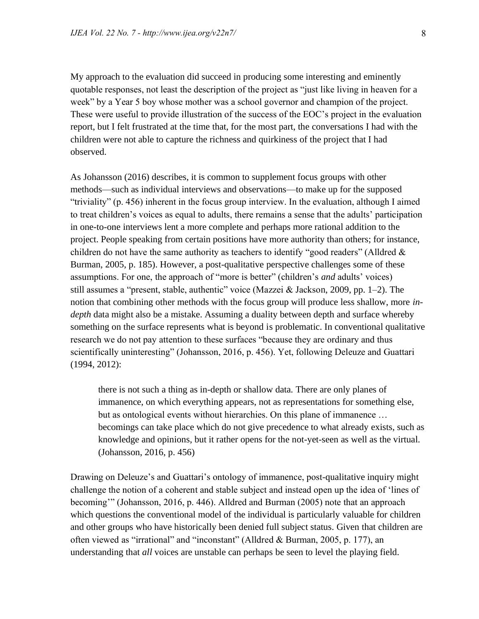My approach to the evaluation did succeed in producing some interesting and eminently quotable responses, not least the description of the project as "just like living in heaven for a week" by a Year 5 boy whose mother was a school governor and champion of the project. These were useful to provide illustration of the success of the EOC's project in the evaluation report, but I felt frustrated at the time that, for the most part, the conversations I had with the children were not able to capture the richness and quirkiness of the project that I had observed.

As Johansson (2016) describes, it is common to supplement focus groups with other methods—such as individual interviews and observations—to make up for the supposed "triviality" (p. 456) inherent in the focus group interview. In the evaluation, although I aimed to treat children's voices as equal to adults, there remains a sense that the adults' participation in one-to-one interviews lent a more complete and perhaps more rational addition to the project. People speaking from certain positions have more authority than others; for instance, children do not have the same authority as teachers to identify "good readers" (Alldred  $\&$ Burman, 2005, p. 185). However, a post-qualitative perspective challenges some of these assumptions. For one, the approach of "more is better" (children's *and* adults' voices) still assumes a "present, stable, authentic" voice (Mazzei & Jackson, 2009, pp. 1–2). The notion that combining other methods with the focus group will produce less shallow, more *indepth* data might also be a mistake. Assuming a duality between depth and surface whereby something on the surface represents what is beyond is problematic. In conventional qualitative research we do not pay attention to these surfaces "because they are ordinary and thus scientifically uninteresting" (Johansson, 2016, p. 456). Yet, following Deleuze and Guattari (1994, 2012):

there is not such a thing as in-depth or shallow data. There are only planes of immanence, on which everything appears, not as representations for something else, but as ontological events without hierarchies. On this plane of immanence … becomings can take place which do not give precedence to what already exists, such as knowledge and opinions, but it rather opens for the not-yet-seen as well as the virtual. (Johansson, 2016, p. 456)

Drawing on Deleuze's and Guattari's ontology of immanence, post-qualitative inquiry might challenge the notion of a coherent and stable subject and instead open up the idea of 'lines of becoming'" (Johansson, 2016, p. 446). Alldred and Burman (2005) note that an approach which questions the conventional model of the individual is particularly valuable for children and other groups who have historically been denied full subject status. Given that children are often viewed as "irrational" and "inconstant" (Alldred & Burman, 2005, p. 177), an understanding that *all* voices are unstable can perhaps be seen to level the playing field.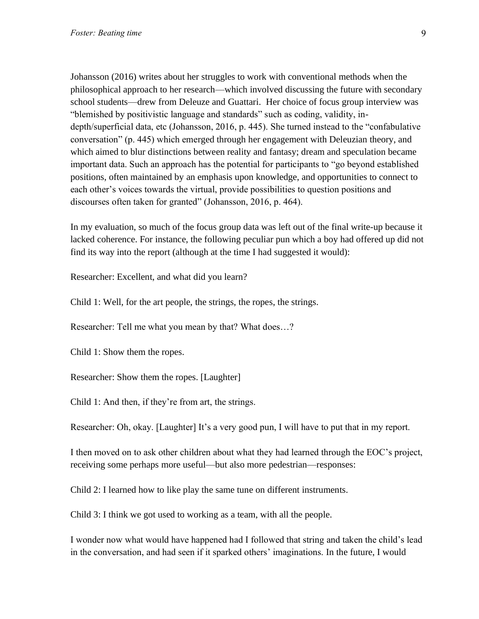Johansson (2016) writes about her struggles to work with conventional methods when the philosophical approach to her research—which involved discussing the future with secondary school students—drew from Deleuze and Guattari. Her choice of focus group interview was "blemished by positivistic language and standards" such as coding, validity, indepth/superficial data, etc (Johansson, 2016, p. 445). She turned instead to the "confabulative conversation" (p. 445) which emerged through her engagement with Deleuzian theory, and which aimed to blur distinctions between reality and fantasy; dream and speculation became important data. Such an approach has the potential for participants to "go beyond established positions, often maintained by an emphasis upon knowledge, and opportunities to connect to each other's voices towards the virtual, provide possibilities to question positions and discourses often taken for granted" (Johansson, 2016, p. 464).

In my evaluation, so much of the focus group data was left out of the final write-up because it lacked coherence. For instance, the following peculiar pun which a boy had offered up did not find its way into the report (although at the time I had suggested it would):

Researcher: Excellent, and what did you learn?

Child 1: Well, for the art people, the strings, the ropes, the strings.

Researcher: Tell me what you mean by that? What does…?

Child 1: Show them the ropes.

Researcher: Show them the ropes. [Laughter]

Child 1: And then, if they're from art, the strings.

Researcher: Oh, okay. [Laughter] It's a very good pun, I will have to put that in my report.

I then moved on to ask other children about what they had learned through the EOC's project, receiving some perhaps more useful—but also more pedestrian—responses:

Child 2: I learned how to like play the same tune on different instruments.

Child 3: I think we got used to working as a team, with all the people.

I wonder now what would have happened had I followed that string and taken the child's lead in the conversation, and had seen if it sparked others' imaginations. In the future, I would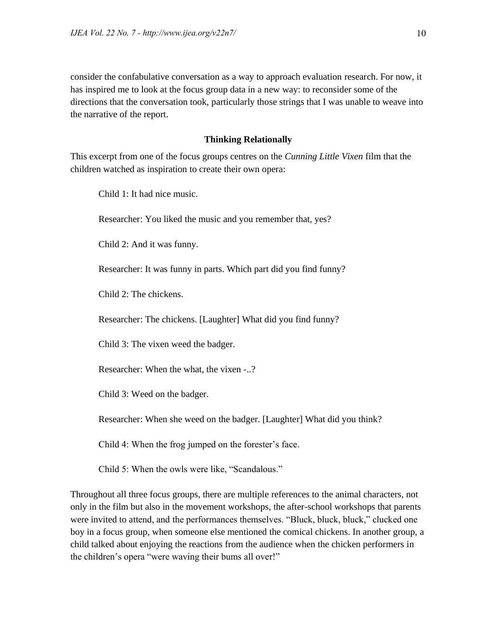consider the confabulative conversation as a way to approach evaluation research. For now, it has inspired me to look at the focus group data in a new way: to reconsider some of the directions that the conversation took, particularly those strings that I was unable to weave into the narrative of the report.

#### **Thinking Relationally**

This excerpt from one of the focus groups centres on the *Cunning Little Vixen* film that the children watched as inspiration to create their own opera:

Child 1: It had nice music.

Researcher: You liked the music and you remember that, yes?

Child 2: And it was funny.

Researcher: It was funny in parts. Which part did you find funny?

Child 2: The chickens.

Researcher: The chickens. [Laughter] What did you find funny?

Child 3: The vixen weed the badger.

Researcher: When the what, the vixen -..?

Child 3: Weed on the badger.

Researcher: When she weed on the badger. [Laughter] What did you think?

Child 4: When the frog jumped on the forester's face.

Child 5: When the owls were like, "Scandalous."

Throughout all three focus groups, there are multiple references to the animal characters, not only in the film but also in the movement workshops, the after-school workshops that parents were invited to attend, and the performances themselves. "Bluck, bluck, bluck," clucked one boy in a focus group, when someone else mentioned the comical chickens. In another group, a child talked about enjoying the reactions from the audience when the chicken performers in the children's opera "were waving their bums all over!"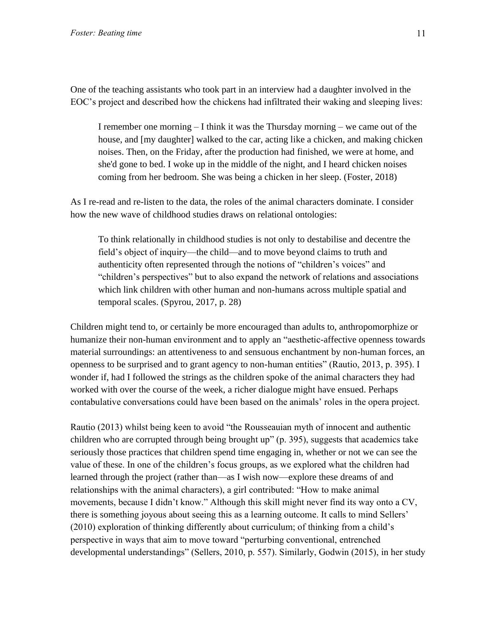One of the teaching assistants who took part in an interview had a daughter involved in the EOC's project and described how the chickens had infiltrated their waking and sleeping lives:

I remember one morning  $-1$  think it was the Thursday morning  $-$  we came out of the house, and [my daughter] walked to the car, acting like a chicken, and making chicken noises. Then, on the Friday, after the production had finished, we were at home, and she'd gone to bed. I woke up in the middle of the night, and I heard chicken noises coming from her bedroom. She was being a chicken in her sleep. (Foster, 2018)

As I re-read and re-listen to the data, the roles of the animal characters dominate. I consider how the new wave of childhood studies draws on relational ontologies:

To think relationally in childhood studies is not only to destabilise and decentre the field's object of inquiry—the child—and to move beyond claims to truth and authenticity often represented through the notions of "children's voices" and "children's perspectives" but to also expand the network of relations and associations which link children with other human and non-humans across multiple spatial and temporal scales. (Spyrou, 2017, p. 28)

Children might tend to, or certainly be more encouraged than adults to, anthropomorphize or humanize their non-human environment and to apply an "aesthetic-affective openness towards material surroundings: an attentiveness to and sensuous enchantment by non-human forces, an openness to be surprised and to grant agency to non-human entities" (Rautio, 2013, p. 395). I wonder if, had I followed the strings as the children spoke of the animal characters they had worked with over the course of the week, a richer dialogue might have ensued. Perhaps contabulative conversations could have been based on the animals' roles in the opera project.

Rautio (2013) whilst being keen to avoid "the Rousseauian myth of innocent and authentic children who are corrupted through being brought up" (p. 395), suggests that academics take seriously those practices that children spend time engaging in, whether or not we can see the value of these. In one of the children's focus groups, as we explored what the children had learned through the project (rather than—as I wish now—explore these dreams of and relationships with the animal characters), a girl contributed: "How to make animal movements, because I didn't know." Although this skill might never find its way onto a CV, there is something joyous about seeing this as a learning outcome. It calls to mind Sellers' (2010) exploration of thinking differently about curriculum; of thinking from a child's perspective in ways that aim to move toward "perturbing conventional, entrenched developmental understandings" (Sellers, 2010, p. 557). Similarly, Godwin (2015), in her study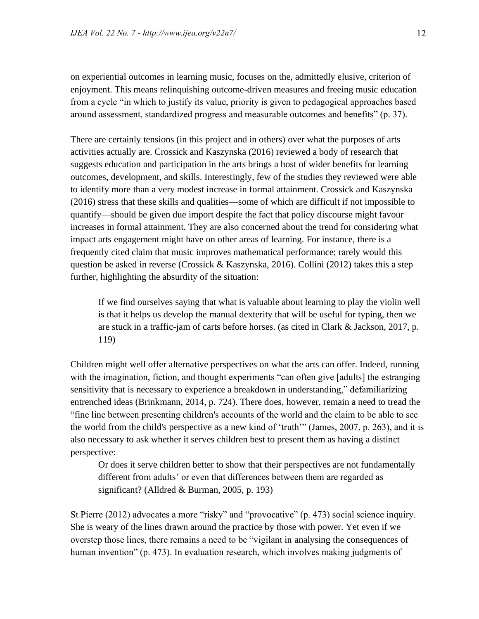on experiential outcomes in learning music, focuses on the, admittedly elusive, criterion of enjoyment. This means relinquishing outcome-driven measures and freeing music education from a cycle "in which to justify its value, priority is given to pedagogical approaches based around assessment, standardized progress and measurable outcomes and benefits" (p. 37).

There are certainly tensions (in this project and in others) over what the purposes of arts activities actually are. Crossick and Kaszynska (2016) reviewed a body of research that suggests education and participation in the arts brings a host of wider benefits for learning outcomes, development, and skills. Interestingly, few of the studies they reviewed were able to identify more than a very modest increase in formal attainment. Crossick and Kaszynska (2016) stress that these skills and qualities—some of which are difficult if not impossible to quantify—should be given due import despite the fact that policy discourse might favour increases in formal attainment. They are also concerned about the trend for considering what impact arts engagement might have on other areas of learning. For instance, there is a frequently cited claim that music improves mathematical performance; rarely would this question be asked in reverse (Crossick & Kaszynska, 2016). Collini (2012) takes this a step further, highlighting the absurdity of the situation:

If we find ourselves saying that what is valuable about learning to play the violin well is that it helps us develop the manual dexterity that will be useful for typing, then we are stuck in a traffic-jam of carts before horses. (as cited in Clark & Jackson, 2017, p. 119)

Children might well offer alternative perspectives on what the arts can offer. Indeed, running with the imagination, fiction, and thought experiments "can often give [adults] the estranging sensitivity that is necessary to experience a breakdown in understanding," defamiliarizing entrenched ideas (Brinkmann, 2014, p. 724). There does, however, remain a need to tread the "fine line between presenting children's accounts of the world and the claim to be able to see the world from the child's perspective as a new kind of 'truth'" (James, 2007, p. 263), and it is also necessary to ask whether it serves children best to present them as having a distinct perspective:

Or does it serve children better to show that their perspectives are not fundamentally different from adults' or even that differences between them are regarded as significant? (Alldred & Burman, 2005, p. 193)

St Pierre (2012) advocates a more "risky" and "provocative" (p. 473) social science inquiry. She is weary of the lines drawn around the practice by those with power. Yet even if we overstep those lines, there remains a need to be "vigilant in analysing the consequences of human invention" (p. 473). In evaluation research, which involves making judgments of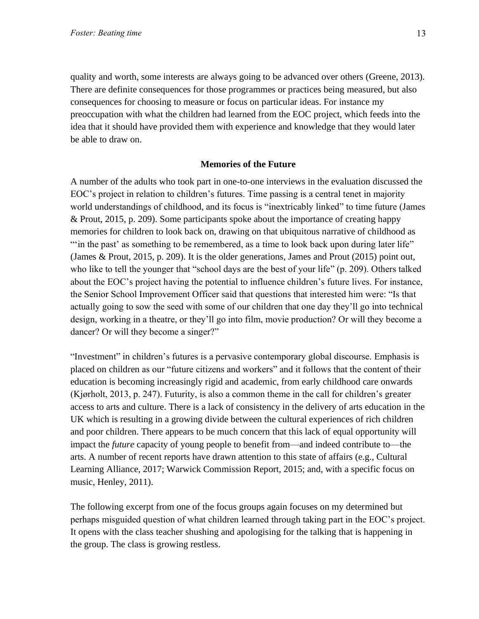quality and worth, some interests are always going to be advanced over others (Greene, 2013). There are definite consequences for those programmes or practices being measured, but also consequences for choosing to measure or focus on particular ideas. For instance my preoccupation with what the children had learned from the EOC project, which feeds into the idea that it should have provided them with experience and knowledge that they would later be able to draw on.

#### **Memories of the Future**

A number of the adults who took part in one-to-one interviews in the evaluation discussed the EOC's project in relation to children's futures. Time passing is a central tenet in majority world understandings of childhood, and its focus is "inextricably linked" to time future (James & Prout, 2015, p. 209). Some participants spoke about the importance of creating happy memories for children to look back on, drawing on that ubiquitous narrative of childhood as "'in the past' as something to be remembered, as a time to look back upon during later life" (James & Prout, 2015, p. 209). It is the older generations, James and Prout (2015) point out, who like to tell the younger that "school days are the best of your life" (p. 209). Others talked about the EOC's project having the potential to influence children's future lives. For instance, the Senior School Improvement Officer said that questions that interested him were: "Is that actually going to sow the seed with some of our children that one day they'll go into technical design, working in a theatre, or they'll go into film, movie production? Or will they become a dancer? Or will they become a singer?"

"Investment" in children's futures is a pervasive contemporary global discourse. Emphasis is placed on children as our "future citizens and workers" and it follows that the content of their education is becoming increasingly rigid and academic, from early childhood care onwards (Kjørholt, 2013, p. 247). Futurity, is also a common theme in the call for children's greater access to arts and culture. There is a lack of consistency in the delivery of arts education in the UK which is resulting in a growing divide between the cultural experiences of rich children and poor children. There appears to be much concern that this lack of equal opportunity will impact the *future* capacity of young people to benefit from—and indeed contribute to—the arts. A number of recent reports have drawn attention to this state of affairs (e.g., Cultural Learning Alliance, 2017; Warwick Commission Report, 2015; and, with a specific focus on music, Henley, 2011).

The following excerpt from one of the focus groups again focuses on my determined but perhaps misguided question of what children learned through taking part in the EOC's project. It opens with the class teacher shushing and apologising for the talking that is happening in the group. The class is growing restless.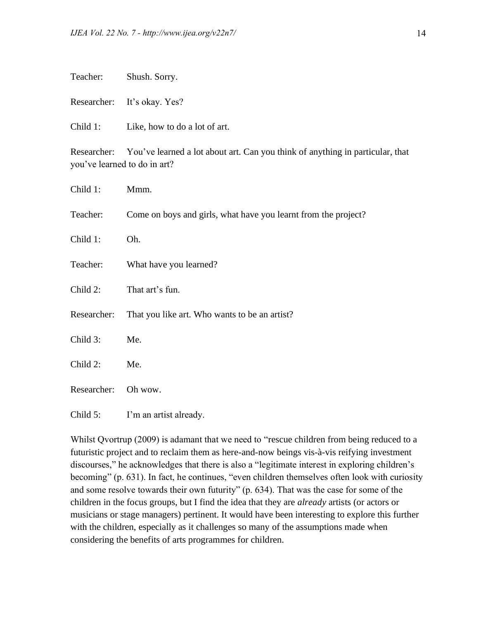Researcher: It's okay. Yes?

Child 1: Like, how to do a lot of art.

Researcher: You've learned a lot about art. Can you think of anything in particular, that you've learned to do in art?

| Child 1:    | Mmm.                                                           |
|-------------|----------------------------------------------------------------|
| Teacher:    | Come on boys and girls, what have you learnt from the project? |
| Child 1:    | Oh.                                                            |
| Teacher:    | What have you learned?                                         |
| Child 2:    | That art's fun.                                                |
| Researcher: | That you like art. Who wants to be an artist?                  |
| Child 3:    | Me.                                                            |
| Child 2:    | Me.                                                            |
| Researcher: | Oh wow.                                                        |
| Child 5:    | I'm an artist already.                                         |

Whilst Qvortrup (2009) is adamant that we need to "rescue children from being reduced to a futuristic project and to reclaim them as here-and-now beings vis-à-vis reifying investment discourses," he acknowledges that there is also a "legitimate interest in exploring children's becoming" (p. 631). In fact, he continues, "even children themselves often look with curiosity and some resolve towards their own futurity" (p. 634). That was the case for some of the children in the focus groups, but I find the idea that they are *already* artists (or actors or musicians or stage managers) pertinent. It would have been interesting to explore this further with the children, especially as it challenges so many of the assumptions made when considering the benefits of arts programmes for children.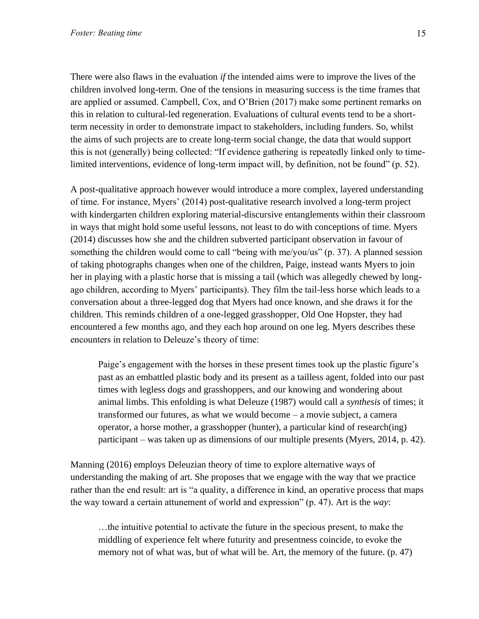There were also flaws in the evaluation *if* the intended aims were to improve the lives of the children involved long-term. One of the tensions in measuring success is the time frames that are applied or assumed. Campbell, Cox, and O'Brien (2017) make some pertinent remarks on this in relation to cultural-led regeneration. Evaluations of cultural events tend to be a shortterm necessity in order to demonstrate impact to stakeholders, including funders. So, whilst the aims of such projects are to create long-term social change, the data that would support this is not (generally) being collected: "If evidence gathering is repeatedly linked only to timelimited interventions, evidence of long-term impact will, by definition, not be found" (p. 52).

A post-qualitative approach however would introduce a more complex, layered understanding of time. For instance, Myers' (2014) post-qualitative research involved a long-term project with kindergarten children exploring material-discursive entanglements within their classroom in ways that might hold some useful lessons, not least to do with conceptions of time. Myers (2014) discusses how she and the children subverted participant observation in favour of something the children would come to call "being with me/you/us" (p. 37). A planned session of taking photographs changes when one of the children, Paige, instead wants Myers to join her in playing with a plastic horse that is missing a tail (which was allegedly chewed by longago children, according to Myers' participants). They film the tail-less horse which leads to a conversation about a three-legged dog that Myers had once known, and she draws it for the children. This reminds children of a one-legged grasshopper, Old One Hopster, they had encountered a few months ago, and they each hop around on one leg. Myers describes these encounters in relation to Deleuze's theory of time:

Paige's engagement with the horses in these present times took up the plastic figure's past as an embattled plastic body and its present as a tailless agent, folded into our past times with legless dogs and grasshoppers, and our knowing and wondering about animal limbs. This enfolding is what Deleuze (1987) would call a *synthesis* of times; it transformed our futures, as what we would become – a movie subject, a camera operator, a horse mother, a grasshopper (hunter), a particular kind of research(ing) participant – was taken up as dimensions of our multiple presents (Myers, 2014, p. 42).

Manning (2016) employs Deleuzian theory of time to explore alternative ways of understanding the making of art. She proposes that we engage with the way that we practice rather than the end result: art is "a quality, a difference in kind, an operative process that maps the way toward a certain attunement of world and expression" (p. 47). Art is the *way*:

…the intuitive potential to activate the future in the specious present, to make the middling of experience felt where futurity and presentness coincide, to evoke the memory not of what was, but of what will be. Art, the memory of the future. (p. 47)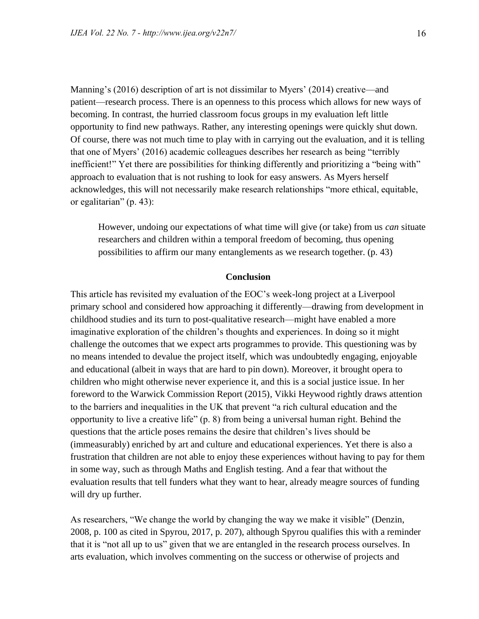Manning's (2016) description of art is not dissimilar to Myers' (2014) creative—and patient—research process. There is an openness to this process which allows for new ways of becoming. In contrast, the hurried classroom focus groups in my evaluation left little opportunity to find new pathways. Rather, any interesting openings were quickly shut down. Of course, there was not much time to play with in carrying out the evaluation, and it is telling that one of Myers' (2016) academic colleagues describes her research as being "terribly inefficient!" Yet there are possibilities for thinking differently and prioritizing a "being with" approach to evaluation that is not rushing to look for easy answers. As Myers herself acknowledges, this will not necessarily make research relationships "more ethical, equitable, or egalitarian" (p. 43):

However, undoing our expectations of what time will give (or take) from us *can* situate researchers and children within a temporal freedom of becoming, thus opening possibilities to affirm our many entanglements as we research together. (p. 43)

#### **Conclusion**

This article has revisited my evaluation of the EOC's week-long project at a Liverpool primary school and considered how approaching it differently—drawing from development in childhood studies and its turn to post-qualitative research—might have enabled a more imaginative exploration of the children's thoughts and experiences. In doing so it might challenge the outcomes that we expect arts programmes to provide. This questioning was by no means intended to devalue the project itself, which was undoubtedly engaging, enjoyable and educational (albeit in ways that are hard to pin down). Moreover, it brought opera to children who might otherwise never experience it, and this is a social justice issue. In her foreword to the Warwick Commission Report (2015), Vikki Heywood rightly draws attention to the barriers and inequalities in the UK that prevent "a rich cultural education and the opportunity to live a creative life" (p. 8) from being a universal human right. Behind the questions that the article poses remains the desire that children's lives should be (immeasurably) enriched by art and culture and educational experiences. Yet there is also a frustration that children are not able to enjoy these experiences without having to pay for them in some way, such as through Maths and English testing. And a fear that without the evaluation results that tell funders what they want to hear, already meagre sources of funding will dry up further.

As researchers, "We change the world by changing the way we make it visible" (Denzin, 2008, p. 100 as cited in Spyrou, 2017, p. 207), although Spyrou qualifies this with a reminder that it is "not all up to us" given that we are entangled in the research process ourselves. In arts evaluation, which involves commenting on the success or otherwise of projects and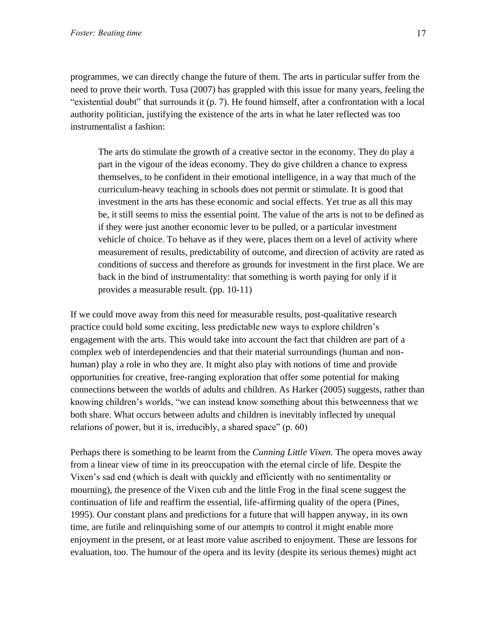programmes, we can directly change the future of them. The arts in particular suffer from the need to prove their worth. Tusa (2007) has grappled with this issue for many years, feeling the "existential doubt" that surrounds it (p. 7). He found himself, after a confrontation with a local authority politician, justifying the existence of the arts in what he later reflected was too instrumentalist a fashion:

The arts do stimulate the growth of a creative sector in the economy. They do play a part in the vigour of the ideas economy. They do give children a chance to express themselves, to be confident in their emotional intelligence, in a way that much of the curriculum-heavy teaching in schools does not permit or stimulate. It is good that investment in the arts has these economic and social effects. Yet true as all this may be, it still seems to miss the essential point. The value of the arts is not to be defined as if they were just another economic lever to be pulled, or a particular investment vehicle of choice. To behave as if they were, places them on a level of activity where measurement of results, predictability of outcome, and direction of activity are rated as conditions of success and therefore as grounds for investment in the first place. We are back in the bind of instrumentality: that something is worth paying for only if it provides a measurable result. (pp. 10-11)

If we could move away from this need for measurable results, post-qualitative research practice could hold some exciting, less predictable new ways to explore children's engagement with the arts. This would take into account the fact that children are part of a complex web of interdependencies and that their material surroundings (human and nonhuman) play a role in who they are. It might also play with notions of time and provide opportunities for creative, free-ranging exploration that offer some potential for making connections between the worlds of adults and children. As Harker (2005) suggests, rather than knowing children's worlds, "we can instead know something about this betweenness that we both share. What occurs between adults and children is inevitably inflected by unequal relations of power, but it is, irreducibly, a shared space" (p. 60)

Perhaps there is something to be learnt from the *Cunning Little Vixen.* The opera moves away from a linear view of time in its preoccupation with the eternal circle of life. Despite the Vixen's sad end (which is dealt with quickly and efficiently with no sentimentality or mourning), the presence of the Vixen cub and the little Frog in the final scene suggest the continuation of life and reaffirm the essential, life-affirming quality of the opera (Pines, 1995). Our constant plans and predictions for a future that will happen anyway, in its own time, are futile and relinquishing some of our attempts to control it might enable more enjoyment in the present, or at least more value ascribed to enjoyment. These are lessons for evaluation, too. The humour of the opera and its levity (despite its serious themes) might act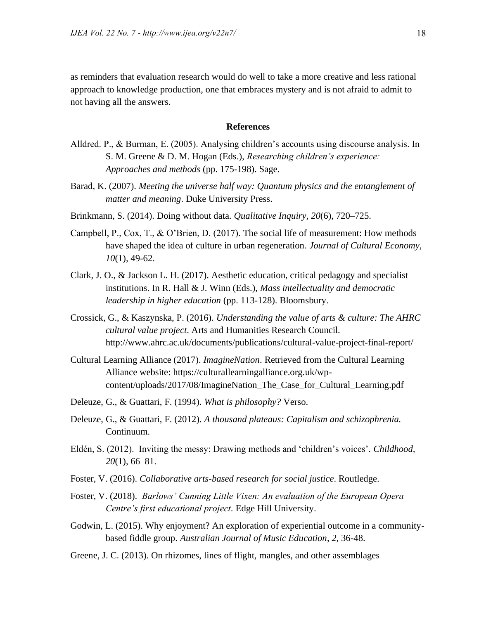as reminders that evaluation research would do well to take a more creative and less rational approach to knowledge production, one that embraces mystery and is not afraid to admit to not having all the answers.

#### **References**

- Alldred. P., & Burman, E. (2005). Analysing children's accounts using discourse analysis. In S. M. Greene & D. M. Hogan (Eds.), *Researching children's experience: Approaches and methods* (pp. 175-198). Sage.
- Barad, K. (2007). *Meeting the universe half way: Quantum physics and the entanglement of matter and meaning*. Duke University Press.
- Brinkmann, S. (2014). Doing without data. *Qualitative Inquiry, 20*(6), 720–725.
- Campbell, P., Cox, T., & O'Brien, D. (2017). The social life of measurement: How methods have shaped the idea of culture in urban regeneration. *Journal of Cultural Economy, 10*(1), 49-62.
- Clark, J. O., & Jackson L. H. (2017). Aesthetic education, critical pedagogy and specialist institutions. In R. Hall & J. Winn (Eds.), *Mass intellectuality and democratic leadership in higher education* (pp. 113-128). Bloomsbury.
- Crossick, G., & Kaszynska, P. (2016). *Understanding the value of arts & culture: The AHRC cultural value project*. Arts and Humanities Research Council. http://www.ahrc.ac.uk/documents/publications/cultural-value-project-final-report/
- Cultural Learning Alliance (2017). *ImagineNation*. Retrieved from the Cultural Learning Alliance website: https://culturallearningalliance.org.uk/wpcontent/uploads/2017/08/ImagineNation\_The\_Case\_for\_Cultural\_Learning.pdf
- Deleuze, G., & Guattari, F. (1994). *What is philosophy?* Verso.
- Deleuze, G., & Guattari, F. (2012). *A thousand plateaus: Capitalism and schizophrenia.* Continuum.
- Eldén, S. (2012). Inviting the messy: Drawing methods and 'children's voices'. *Childhood, 20*(1), 66–81.
- Foster, V. (2016). *Collaborative arts-based research for social justice*. Routledge.
- Foster, V. (2018). *Barlows' Cunning Little Vixen: An evaluation of the European Opera Centre's first educational project*. Edge Hill University.
- Godwin, L. (2015). Why enjoyment? An exploration of experiential outcome in a communitybased fiddle group. *Australian Journal of Music Education*, *2*, 36-48.
- Greene, J. C. (2013). On rhizomes, lines of flight, mangles, and other assemblages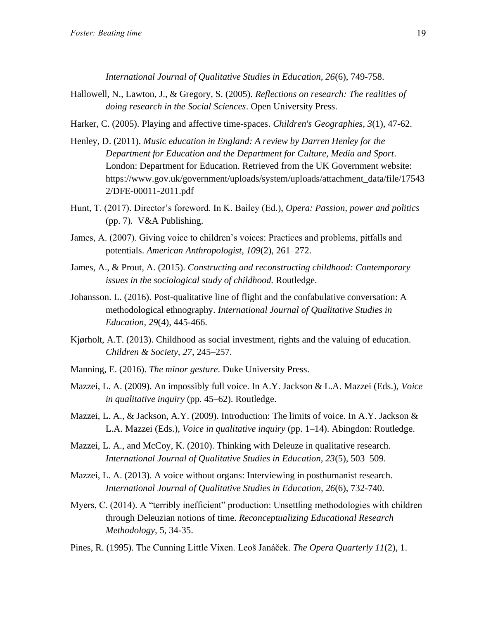*International Journal of Qualitative Studies in Education, 26*(6), 749-758.

- Hallowell, N., Lawton, J., & Gregory, S. (2005). *Reflections on research: The realities of doing research in the Social Sciences*. Open University Press.
- Harker, C. (2005). Playing and affective time-spaces. *Children's Geographies, 3*(1), 47-62.
- Henley, D. (2011). *Music education in England: A review by Darren Henley for the Department for Education and the Department for Culture, Media and Sport*. London: Department for Education. Retrieved from the UK Government website: https://www.gov.uk/government/uploads/system/uploads/attachment\_data/file/17543 2/DFE-00011-2011.pdf
- Hunt, T. (2017). Director's foreword. In K. Bailey (Ed.), *Opera: Passion, power and politics* (pp. 7)*.* V&A Publishing.
- James, A. (2007). Giving voice to children's voices: Practices and problems, pitfalls and potentials. *American Anthropologist, 109*(2), 261–272.
- James, A., & Prout, A. (2015). *Constructing and reconstructing childhood: Contemporary issues in the sociological study of childhood.* Routledge.
- Johansson. L. (2016). Post-qualitative line of flight and the confabulative conversation: A methodological ethnography. *International Journal of Qualitative Studies in Education, 29*(4), 445-466.
- Kjørholt, A.T. (2013). Childhood as social investment, rights and the valuing of education. *Children & Society, 27*, 245–257.
- Manning, E. (2016). *The minor gesture*. Duke University Press.
- Mazzei, L. A. (2009). An impossibly full voice. In A.Y. Jackson & L.A. Mazzei (Eds.), *Voice in qualitative inquiry* (pp. 45–62). Routledge.
- Mazzei, L. A., & Jackson, A.Y. (2009). Introduction: The limits of voice. In A.Y. Jackson & L.A. Mazzei (Eds.), *Voice in qualitative inquiry* (pp. 1–14). Abingdon: Routledge.
- Mazzei, L. A., and McCoy, K. (2010). Thinking with Deleuze in qualitative research. *International Journal of Qualitative Studies in Education, 23*(5), 503–509.
- Mazzei, L. A. (2013). A voice without organs: Interviewing in posthumanist research. *International Journal of Qualitative Studies in Education, 26*(6), 732-740.
- Myers, C. (2014). A "terribly inefficient" production: Unsettling methodologies with children through Deleuzian notions of time. *Reconceptualizing Educational Research Methodology,* 5, 34-35.
- Pines, R. (1995). The Cunning Little Vixen. Leoš Janáček. *The Opera Quarterly 11*(2), 1.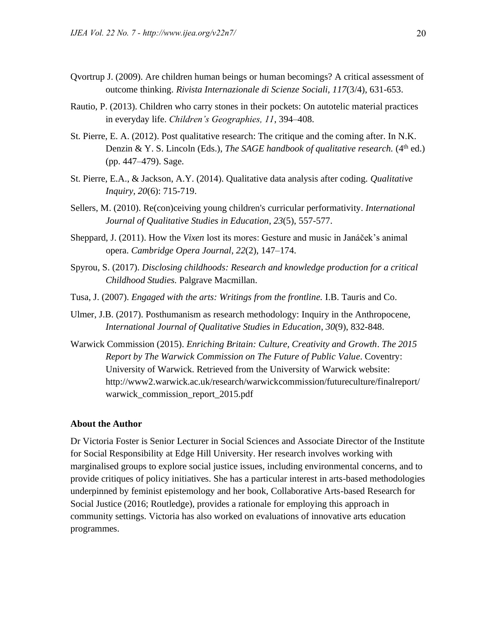- Qvortrup J. (2009). Are children human beings or human becomings? A critical assessment of outcome thinking. *Rivista Internazionale di Scienze Sociali, 117*(3/4), 631-653.
- Rautio, P. (2013). Children who carry stones in their pockets: On autotelic material practices in everyday life. *Children's Geographies, 11*, 394–408.
- St. Pierre, E. A. (2012). Post qualitative research: The critique and the coming after. In N.K. Denzin & Y. S. Lincoln (Eds.), *The SAGE handbook of qualitative research*. (4<sup>th</sup> ed.) (pp. 447–479). Sage.
- St. Pierre, E.A., & Jackson, A.Y. (2014). Qualitative data analysis after coding. *Qualitative Inquiry, 20*(6): 715-719.
- Sellers, M. (2010). Re(con)ceiving young children's curricular performativity. *International Journal of Qualitative Studies in Education*, *23*(5), 557-577.
- Sheppard, J. (2011). How the *Vixen* lost its mores: Gesture and music in Janáček's animal opera. *Cambridge Opera Journal*, *22*(2), 147–174.
- Spyrou, S. (2017). *Disclosing childhoods: Research and knowledge production for a critical Childhood Studies.* Palgrave Macmillan.
- Tusa, J. (2007). *Engaged with the arts: Writings from the frontline.* I.B. Tauris and Co.
- Ulmer, J.B. (2017). Posthumanism as research methodology: Inquiry in the Anthropocene, *International Journal of Qualitative Studies in Education*, *30*(9), 832-848.
- Warwick Commission (2015). *Enriching Britain: Culture, Creativity and Growth*. *The 2015 Report by The Warwick Commission on The Future of Public Value*. Coventry: University of Warwick. Retrieved from the University of Warwick website: http://www2.warwick.ac.uk/research/warwickcommission/futureculture/finalreport/ warwick\_commission\_report\_2015.pdf

#### **About the Author**

Dr Victoria Foster is Senior Lecturer in Social Sciences and Associate Director of the Institute for Social Responsibility at Edge Hill University. Her research involves working with marginalised groups to explore social justice issues, including environmental concerns, and to provide critiques of policy initiatives. She has a particular interest in arts-based methodologies underpinned by feminist epistemology and her book, Collaborative Arts-based Research for Social Justice (2016; Routledge), provides a rationale for employing this approach in community settings. Victoria has also worked on evaluations of innovative arts education programmes.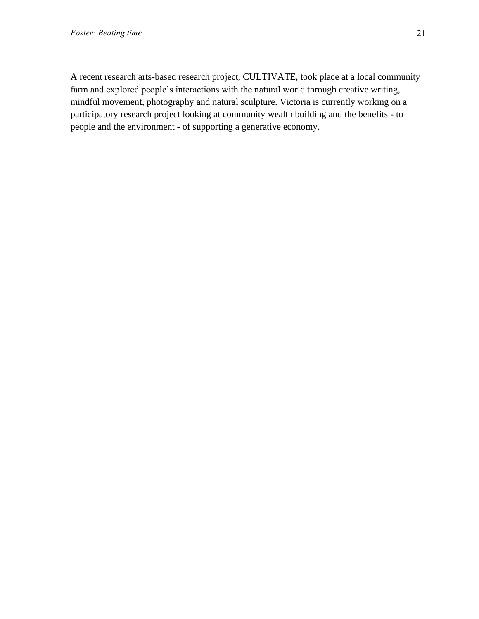A recent research arts-based research project, CULTIVATE, took place at a local community farm and explored people's interactions with the natural world through creative writing, mindful movement, photography and natural sculpture. Victoria is currently working on a participatory research project looking at community wealth building and the benefits - to people and the environment - of supporting a generative economy.